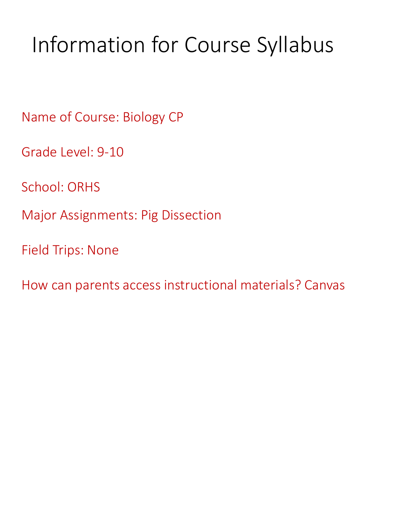## Information for Course Syllabus

Name of Course: Biology CP

Grade Level: 9-10

School: ORHS

Major Assignments: Pig Dissection

Field Trips: None

How can parents access instructional materials? Canvas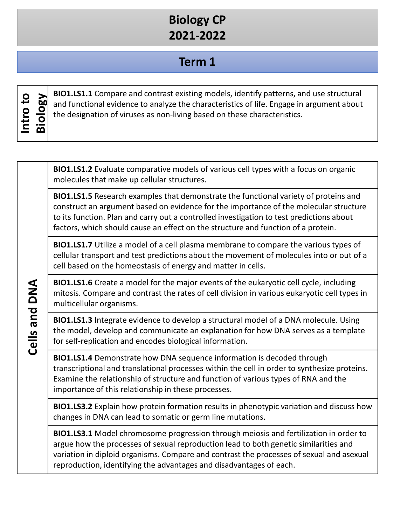### **Biology CP 2021-2022**

### **Term 1**

| О<br>ى | 60 |
|--------|----|
| О      | О  |
| سه     | О  |
| ∼      | മ  |

**BIO1.LS1.1** Compare and contrast existing models, identify patterns, and use structural<br>and functional evidence to analyze the characteristics of life. Engage in argument about<br>the designation of viruses as non-living bas and functional evidence to analyze the characteristics of life. Engage in argument about the designation of viruses as non-living based on these characteristics.

**BIO1.LS1.2** Evaluate comparative models of various cell types with a focus on organic molecules that make up cellular structures.

**BIO1.LS1.5** Research examples that demonstrate the functional variety of proteins and construct an argument based on evidence for the importance of the molecular structure to its function. Plan and carry out a controlled investigation to test predictions about factors, which should cause an effect on the structure and function of a protein.

**BIO1.LS1.7** Utilize a model of a cell plasma membrane to compare the various types of cellular transport and test predictions about the movement of molecules into or out of a cell based on the homeostasis of energy and matter in cells.

**BIO1.LS1.6** Create a model for the major events of the eukaryotic cell cycle, including mitosis. Compare and contrast the rates of cell division in various eukaryotic cell types in multicellular organisms.

**BIO1.LS1.3** Integrate evidence to develop a structural model of a DNA molecule. Using the model, develop and communicate an explanation for how DNA serves as a template for self-replication and encodes biological information.

**BIO1.LS1.4** Demonstrate how DNA sequence information is decoded through transcriptional and translational processes within the cell in order to synthesize proteins. Examine the relationship of structure and function of various types of RNA and the importance of this relationship in these processes.

**BIO1.LS3.2** Explain how protein formation results in phenotypic variation and discuss how changes in DNA can lead to somatic or germ line mutations.

**BIO1.LS3.1** Model chromosome progression through meiosis and fertilization in order to argue how the processes of sexual reproduction lead to both genetic similarities and variation in diploid organisms. Compare and contrast the processes of sexual and asexual reproduction, identifying the advantages and disadvantages of each.

Cells and DNA **Cells and DNA**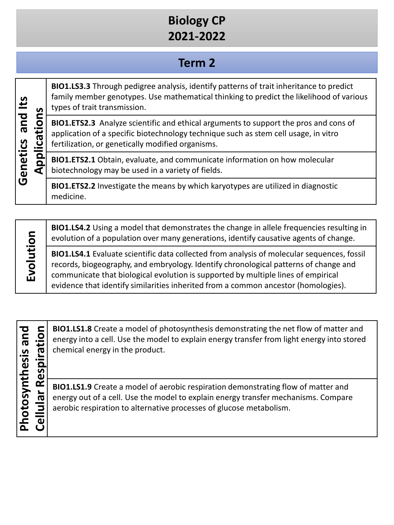## **Biology CP 2021-2022**

### **Term 2**

# **Genetics and Its**  Genetics and Its Applications **Applications**

**BIO1.LS3.3** Through pedigree analysis, identify patterns of trait inheritance to predict family member genotypes. Use mathematical thinking to predict the likelihood of various types of trait transmission.

**BIO1.ETS2.3** Analyze scientific and ethical arguments to support the pros and cons of application of a specific biotechnology technique such as stem cell usage, in vitro fertilization, or genetically modified organisms.

**BIO1.ETS2.1** Obtain, evaluate, and communicate information on how molecular biotechnology may be used in a variety of fields.

**BIO1.ETS2.2** Investigate the means by which karyotypes are utilized in diagnostic medicine.

Evolution **Evolution**

**BIO1.LS4.2** Using a model that demonstrates the change in allele frequencies resulting in evolution of a population over many generations, identify causative agents of change.

**BIO1.LS4.1** Evaluate scientific data collected from analysis of molecular sequences, fossil records, biogeography, and embryology. Identify chronological patterns of change and communicate that biological evolution is supported by multiple lines of empirical evidence that identify similarities inherited from a common ancestor (homologies).

**Photosynthesis and**  Photosynthesis and

**CELLULAR CERV** ENDINIEST A Create a model of photosynthesis demonstrating the net flow of matter and<br>energy into a cell. Use the model to explain energy transfer from light energy into stored<br>chemical energy in the produc energy into a cell. Use the model to explain energy transfer from light energy into stored chemical energy in the product.

**BIO1.LS1.9** Create a model of aerobic respiration demonstrating flow of matter and energy out of a cell. Use the model to explain energy transfer mechanisms. Compare aerobic respiration to alternative processes of glucose metabolism.